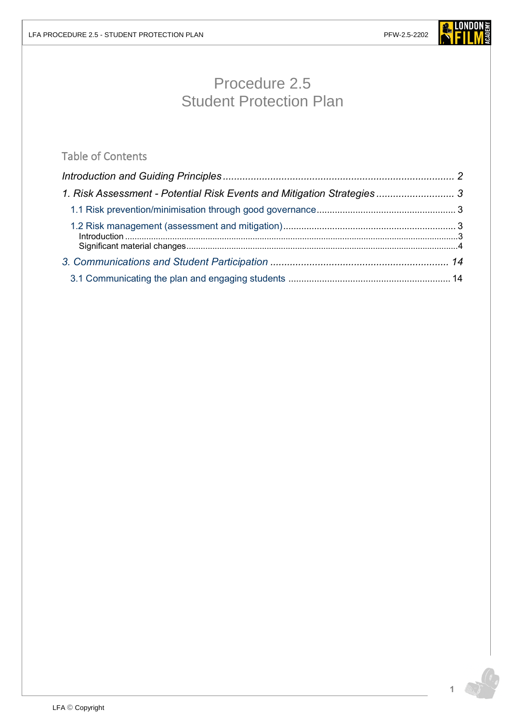

# Procedure 2.5 Student Protection Plan

# Table of Contents

| 1. Risk Assessment - Potential Risk Events and Mitigation Strategies  3 |  |
|-------------------------------------------------------------------------|--|
|                                                                         |  |
|                                                                         |  |
|                                                                         |  |
|                                                                         |  |
|                                                                         |  |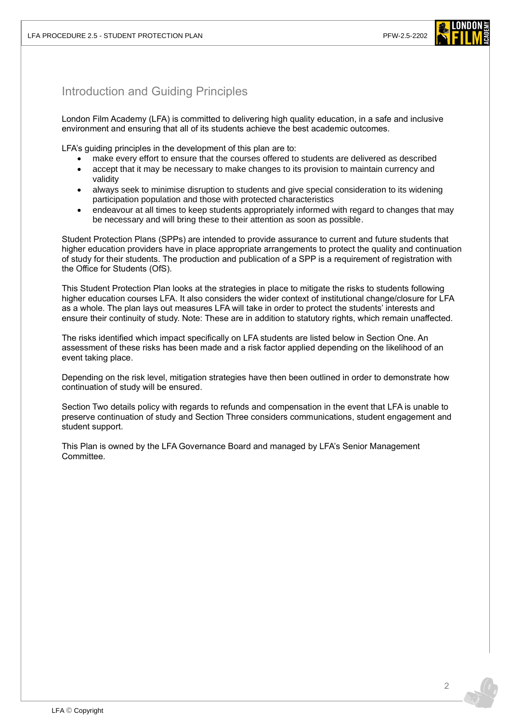

# <span id="page-1-0"></span>Introduction and Guiding Principles

London Film Academy (LFA) is committed to delivering high quality education, in a safe and inclusive environment and ensuring that all of its students achieve the best academic outcomes.

LFA's guiding principles in the development of this plan are to:

- make every effort to ensure that the courses offered to students are delivered as described
- accept that it may be necessary to make changes to its provision to maintain currency and validity
- always seek to minimise disruption to students and give special consideration to its widening participation population and those with protected characteristics
- endeavour at all times to keep students appropriately informed with regard to changes that may be necessary and will bring these to their attention as soon as possible.

Student Protection Plans (SPPs) are intended to provide assurance to current and future students that higher education providers have in place appropriate arrangements to protect the quality and continuation of study for their students. The production and publication of a SPP is a requirement of registration with the Office for Students (OfS).

This Student Protection Plan looks at the strategies in place to mitigate the risks to students following higher education courses LFA. It also considers the wider context of institutional change/closure for LFA as a whole. The plan lays out measures LFA will take in order to protect the students' interests and ensure their continuity of study. Note: These are in addition to statutory rights, which remain unaffected.

The risks identified which impact specifically on LFA students are listed below in Section One. An assessment of these risks has been made and a risk factor applied depending on the likelihood of an event taking place.

Depending on the risk level, mitigation strategies have then been outlined in order to demonstrate how continuation of study will be ensured.

Section Two details policy with regards to refunds and compensation in the event that LFA is unable to preserve continuation of study and Section Three considers communications, student engagement and student support.

This Plan is owned by the LFA Governance Board and managed by LFA's Senior Management Committee.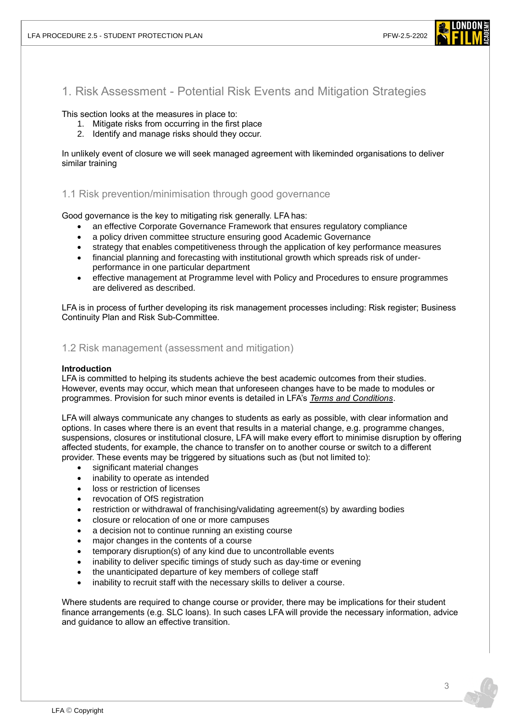

<span id="page-2-0"></span>1. Risk Assessment - Potential Risk Events and Mitigation Strategies

This section looks at the measures in place to:

- 1. Mitigate risks from occurring in the first place
- 2. Identify and manage risks should they occur.

In unlikely event of closure we will seek managed agreement with likeminded organisations to deliver similar training

### <span id="page-2-1"></span>1.1 Risk prevention/minimisation through good governance

Good governance is the key to mitigating risk generally. LFA has:

- an effective Corporate Governance Framework that ensures regulatory compliance
- a policy driven committee structure ensuring good Academic Governance
- strategy that enables competitiveness through the application of key performance measures
- financial planning and forecasting with institutional growth which spreads risk of underperformance in one particular department
- effective management at Programme level with Policy and Procedures to ensure programmes are delivered as described.

LFA is in process of further developing its risk management processes including: Risk register; Business Continuity Plan and Risk Sub-Committee.

### <span id="page-2-2"></span>1.2 Risk management (assessment and mitigation)

#### <span id="page-2-3"></span>**Introduction**

LFA is committed to helping its students achieve the best academic outcomes from their studies. However, events may occur, which mean that unforeseen changes have to be made to modules or programmes. Provision for such minor events is detailed in LFA's *[Terms and Conditions](https://www.londonfilmacademy.com/LFA_Terms_Conditions.pdf)*.

LFA will always communicate any changes to students as early as possible, with clear information and options. In cases where there is an event that results in a material change, e.g. programme changes, suspensions, closures or institutional closure, LFA will make every effort to minimise disruption by offering affected students, for example, the chance to transfer on to another course or switch to a different provider. These events may be triggered by situations such as (but not limited to):

- significant material changes
- inability to operate as intended
- loss or restriction of licenses
- revocation of OfS registration
- restriction or withdrawal of franchising/validating agreement(s) by awarding bodies
- closure or relocation of one or more campuses
- a decision not to continue running an existing course
- major changes in the contents of a course
- temporary disruption(s) of any kind due to uncontrollable events
- inability to deliver specific timings of study such as day-time or evening
- the unanticipated departure of key members of college staff
- inability to recruit staff with the necessary skills to deliver a course.

Where students are required to change course or provider, there may be implications for their student finance arrangements (e.g. SLC loans). In such cases LFA will provide the necessary information, advice and guidance to allow an effective transition.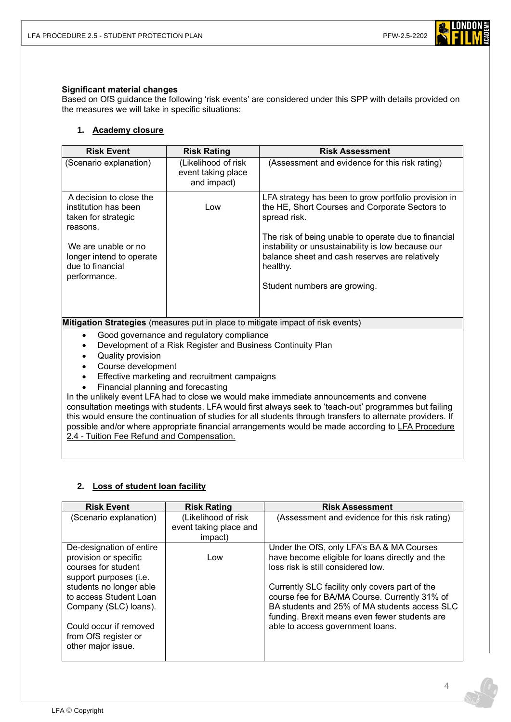

#### <span id="page-3-0"></span>**Significant material changes**

Based on OfS guidance the following 'risk events' are considered under this SPP with details provided on the measures we will take in specific situations:

### **1. Academy closure**

| <b>Risk Event</b>                                                                                                                                                                                                                                                                                                                                                                                                                                                    | <b>Risk Rating</b>                                       | <b>Risk Assessment</b>                                                                                                                                                                                                                                                                             |
|----------------------------------------------------------------------------------------------------------------------------------------------------------------------------------------------------------------------------------------------------------------------------------------------------------------------------------------------------------------------------------------------------------------------------------------------------------------------|----------------------------------------------------------|----------------------------------------------------------------------------------------------------------------------------------------------------------------------------------------------------------------------------------------------------------------------------------------------------|
| (Scenario explanation)                                                                                                                                                                                                                                                                                                                                                                                                                                               | (Likelihood of risk<br>event taking place<br>and impact) | (Assessment and evidence for this risk rating)                                                                                                                                                                                                                                                     |
| A decision to close the<br>institution has been<br>taken for strategic<br>reasons.<br>We are unable or no<br>longer intend to operate<br>due to financial                                                                                                                                                                                                                                                                                                            | Low                                                      | LFA strategy has been to grow portfolio provision in<br>the HE, Short Courses and Corporate Sectors to<br>spread risk.<br>The risk of being unable to operate due to financial<br>instability or unsustainability is low because our<br>balance sheet and cash reserves are relatively<br>healthy. |
| performance.                                                                                                                                                                                                                                                                                                                                                                                                                                                         |                                                          | Student numbers are growing.                                                                                                                                                                                                                                                                       |
| Mitigation Strategies (measures put in place to mitigate impact of risk events)                                                                                                                                                                                                                                                                                                                                                                                      |                                                          |                                                                                                                                                                                                                                                                                                    |
| Good governance and regulatory compliance<br>$\bullet$<br>Development of a Risk Register and Business Continuity Plan<br>$\bullet$<br>Quality provision<br>$\bullet$<br>Course development<br>$\bullet$                                                                                                                                                                                                                                                              |                                                          |                                                                                                                                                                                                                                                                                                    |
| Effective marketing and recruitment campaigns<br>$\bullet$                                                                                                                                                                                                                                                                                                                                                                                                           |                                                          |                                                                                                                                                                                                                                                                                                    |
| Financial planning and forecasting                                                                                                                                                                                                                                                                                                                                                                                                                                   |                                                          |                                                                                                                                                                                                                                                                                                    |
| In the unlikely event LFA had to close we would make immediate announcements and convene<br>consultation meetings with students. LFA would first always seek to 'teach-out' programmes but failing<br>this would ensure the continuation of studies for all students through transfers to alternate providers. If<br>possible and/or where appropriate financial arrangements would be made according to LFA Procedure<br>2.4 - Tuition Fee Refund and Compensation. |                                                          |                                                                                                                                                                                                                                                                                                    |

#### **2. Loss of student loan facility**

| <b>Risk Event</b>                                                                                  | <b>Risk Rating</b>                                       | <b>Risk Assessment</b>                                                                                                                                                                            |
|----------------------------------------------------------------------------------------------------|----------------------------------------------------------|---------------------------------------------------------------------------------------------------------------------------------------------------------------------------------------------------|
| (Scenario explanation)                                                                             | (Likelihood of risk<br>event taking place and<br>impact) | (Assessment and evidence for this risk rating)                                                                                                                                                    |
|                                                                                                    |                                                          |                                                                                                                                                                                                   |
| De-designation of entire<br>provision or specific<br>courses for student<br>support purposes (i.e. | Low                                                      | Under the OfS, only LFA's BA & MA Courses<br>have become eligible for loans directly and the<br>loss risk is still considered low.                                                                |
| students no longer able<br>to access Student Loan<br>Company (SLC) loans).                         |                                                          | Currently SLC facility only covers part of the<br>course fee for BA/MA Course. Currently 31% of<br>BA students and 25% of MA students access SLC<br>funding. Brexit means even fewer students are |
| Could occur if removed<br>from OfS register or<br>other major issue.                               |                                                          | able to access government loans.                                                                                                                                                                  |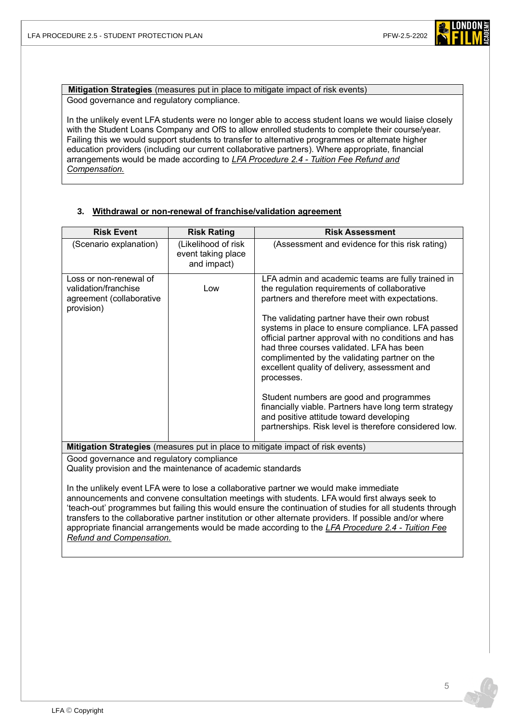

**Mitigation Strategies** (measures put in place to mitigate impact of risk events) Good governance and regulatory compliance.

In the unlikely event LFA students were no longer able to access student loans we would liaise closely with the Student Loans Company and OfS to allow enrolled students to complete their course/year. Failing this we would support students to transfer to alternative programmes or alternate higher education providers (including our current collaborative partners). Where appropriate, financial arrangements would be made according to *LFA Procedure 2.4 - [Tuition Fee Refund and](https://www.londonfilmacademy.com/LFA_Procedure_2.4_Tuition_fee_refunds_and_compensation.pdf)  [Compensation.](https://www.londonfilmacademy.com/LFA_Procedure_2.4_Tuition_fee_refunds_and_compensation.pdf)*

#### **3. Withdrawal or non-renewal of franchise/validation agreement**

| <b>Risk Event</b>                                                                        | <b>Risk Rating</b>                                       | <b>Risk Assessment</b>                                                                                                                                                                                                                                                                                                                                                                                                                                                                                                                                                                                                                                                               |
|------------------------------------------------------------------------------------------|----------------------------------------------------------|--------------------------------------------------------------------------------------------------------------------------------------------------------------------------------------------------------------------------------------------------------------------------------------------------------------------------------------------------------------------------------------------------------------------------------------------------------------------------------------------------------------------------------------------------------------------------------------------------------------------------------------------------------------------------------------|
| (Scenario explanation)                                                                   | (Likelihood of risk<br>event taking place<br>and impact) | (Assessment and evidence for this risk rating)                                                                                                                                                                                                                                                                                                                                                                                                                                                                                                                                                                                                                                       |
| Loss or non-renewal of<br>validation/franchise<br>agreement (collaborative<br>provision) | Low                                                      | LFA admin and academic teams are fully trained in<br>the regulation requirements of collaborative<br>partners and therefore meet with expectations.<br>The validating partner have their own robust<br>systems in place to ensure compliance. LFA passed<br>official partner approval with no conditions and has<br>had three courses validated. LFA has been<br>complimented by the validating partner on the<br>excellent quality of delivery, assessment and<br>processes.<br>Student numbers are good and programmes<br>financially viable. Partners have long term strategy<br>and positive attitude toward developing<br>partnerships. Risk level is therefore considered low. |

**Mitigation Strategies** (measures put in place to mitigate impact of risk events)

Good governance and regulatory compliance

Quality provision and the maintenance of academic standards

In the unlikely event LFA were to lose a collaborative partner we would make immediate announcements and convene consultation meetings with students. LFA would first always seek to 'teach-out' programmes but failing this would ensure the continuation of studies for all students through transfers to the collaborative partner institution or other alternate providers. If possible and/or where appropriate financial arrangements would be made according to the *[LFA Procedure 2.4 -](https://www.londonfilmacademy.com/LFA_Procedure_2.4_Tuition_fee_refunds_and_compensation.pdf) Tuition Fee [Refund and Compensation.](https://www.londonfilmacademy.com/LFA_Procedure_2.4_Tuition_fee_refunds_and_compensation.pdf)*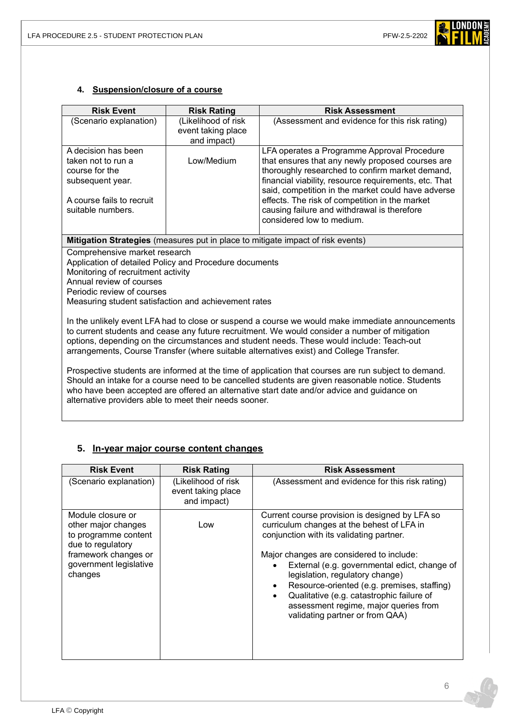

### **4. Suspension/closure of a course**

| <b>Risk Event</b>                                                                                                                                                                                                                                                                                                                                                                          | <b>Risk Rating</b>                                       | <b>Risk Assessment</b>                                                                                                                                                                                                                                                                                                                                                                          |
|--------------------------------------------------------------------------------------------------------------------------------------------------------------------------------------------------------------------------------------------------------------------------------------------------------------------------------------------------------------------------------------------|----------------------------------------------------------|-------------------------------------------------------------------------------------------------------------------------------------------------------------------------------------------------------------------------------------------------------------------------------------------------------------------------------------------------------------------------------------------------|
| (Scenario explanation)                                                                                                                                                                                                                                                                                                                                                                     | (Likelihood of risk<br>event taking place<br>and impact) | (Assessment and evidence for this risk rating)                                                                                                                                                                                                                                                                                                                                                  |
| A decision has been<br>taken not to run a<br>course for the<br>subsequent year.<br>A course fails to recruit<br>suitable numbers.                                                                                                                                                                                                                                                          | Low/Medium                                               | LFA operates a Programme Approval Procedure<br>that ensures that any newly proposed courses are<br>thoroughly researched to confirm market demand,<br>financial viability, resource requirements, etc. That<br>said, competition in the market could have adverse<br>effects. The risk of competition in the market<br>causing failure and withdrawal is therefore<br>considered low to medium. |
|                                                                                                                                                                                                                                                                                                                                                                                            |                                                          | Mitigation Strategies (measures put in place to mitigate impact of risk events)                                                                                                                                                                                                                                                                                                                 |
| Comprehensive market research<br>Application of detailed Policy and Procedure documents<br>Monitoring of recruitment activity<br>Annual review of courses<br>Periodic review of courses<br>Measuring student satisfaction and achievement rates                                                                                                                                            |                                                          |                                                                                                                                                                                                                                                                                                                                                                                                 |
| In the unlikely event LFA had to close or suspend a course we would make immediate announcements<br>to current students and cease any future recruitment. We would consider a number of mitigation<br>options, depending on the circumstances and student needs. These would include: Teach-out<br>arrangements, Course Transfer (where suitable alternatives exist) and College Transfer. |                                                          |                                                                                                                                                                                                                                                                                                                                                                                                 |
| Prospective students are informed at the time of application that courses are run subject to demand.<br>Should an intake for a course need to be cancelled students are given reasonable notice. Students<br>who have been accepted are offered an alternative start date and/or advice and guidance on<br>alternative providers able to meet their needs sooner.                          |                                                          |                                                                                                                                                                                                                                                                                                                                                                                                 |

# **5. In-year major course content changes**

| <b>Risk Event</b>                                                                                                                                  | <b>Risk Rating</b>                                       | <b>Risk Assessment</b>                                                                                                                                                                                                                                                                                                                                                                                                                                                    |
|----------------------------------------------------------------------------------------------------------------------------------------------------|----------------------------------------------------------|---------------------------------------------------------------------------------------------------------------------------------------------------------------------------------------------------------------------------------------------------------------------------------------------------------------------------------------------------------------------------------------------------------------------------------------------------------------------------|
| (Scenario explanation)                                                                                                                             | (Likelihood of risk<br>event taking place<br>and impact) | (Assessment and evidence for this risk rating)                                                                                                                                                                                                                                                                                                                                                                                                                            |
| Module closure or<br>other major changes<br>to programme content<br>due to regulatory<br>framework changes or<br>government legislative<br>changes | Low                                                      | Current course provision is designed by LFA so<br>curriculum changes at the behest of LFA in<br>conjunction with its validating partner.<br>Major changes are considered to include:<br>External (e.g. governmental edict, change of<br>legislation, regulatory change)<br>Resource-oriented (e.g. premises, staffing)<br>$\bullet$<br>Qualitative (e.g. catastrophic failure of<br>$\bullet$<br>assessment regime, major queries from<br>validating partner or from QAA) |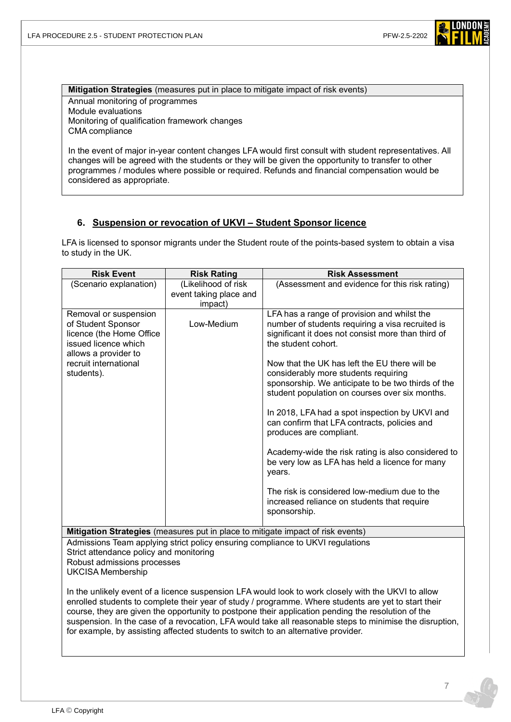

**Mitigation Strategies** (measures put in place to mitigate impact of risk events) Annual monitoring of programmes Module evaluations Monitoring of qualification framework changes CMA compliance

In the event of major in-year content changes LFA would first consult with student representatives. All changes will be agreed with the students or they will be given the opportunity to transfer to other programmes / modules where possible or required. Refunds and financial compensation would be considered as appropriate.

### **6. Suspension or revocation of UKVI – Student Sponsor licence**

LFA is licensed to sponsor migrants under the Student route of the points-based system to obtain a visa to study in the UK.

| <b>Risk Event</b>                                                                                                                                                                                                                                                                                                                                                                                                                                                                                                  | <b>Risk Rating</b>                | <b>Risk Assessment</b>                                                                                                                                                                        |
|--------------------------------------------------------------------------------------------------------------------------------------------------------------------------------------------------------------------------------------------------------------------------------------------------------------------------------------------------------------------------------------------------------------------------------------------------------------------------------------------------------------------|-----------------------------------|-----------------------------------------------------------------------------------------------------------------------------------------------------------------------------------------------|
| (Scenario explanation)                                                                                                                                                                                                                                                                                                                                                                                                                                                                                             | (Likelihood of risk               | (Assessment and evidence for this risk rating)                                                                                                                                                |
|                                                                                                                                                                                                                                                                                                                                                                                                                                                                                                                    | event taking place and<br>impact) |                                                                                                                                                                                               |
| Removal or suspension<br>of Student Sponsor<br>licence (the Home Office<br>issued licence which                                                                                                                                                                                                                                                                                                                                                                                                                    | Low-Medium                        | LFA has a range of provision and whilst the<br>number of students requiring a visa recruited is<br>significant it does not consist more than third of<br>the student cohort.                  |
| allows a provider to<br>recruit international<br>students).                                                                                                                                                                                                                                                                                                                                                                                                                                                        |                                   | Now that the UK has left the EU there will be<br>considerably more students requiring<br>sponsorship. We anticipate to be two thirds of the<br>student population on courses over six months. |
|                                                                                                                                                                                                                                                                                                                                                                                                                                                                                                                    |                                   | In 2018, LFA had a spot inspection by UKVI and<br>can confirm that LFA contracts, policies and<br>produces are compliant.                                                                     |
|                                                                                                                                                                                                                                                                                                                                                                                                                                                                                                                    |                                   | Academy-wide the risk rating is also considered to<br>be very low as LFA has held a licence for many<br>years.                                                                                |
|                                                                                                                                                                                                                                                                                                                                                                                                                                                                                                                    |                                   | The risk is considered low-medium due to the<br>increased reliance on students that require<br>sponsorship.                                                                                   |
|                                                                                                                                                                                                                                                                                                                                                                                                                                                                                                                    |                                   | Mitigation Strategies (measures put in place to mitigate impact of risk events)                                                                                                               |
| Admissions Team applying strict policy ensuring compliance to UKVI regulations<br>Strict attendance policy and monitoring<br>Robust admissions processes<br><b>UKCISA Membership</b>                                                                                                                                                                                                                                                                                                                               |                                   |                                                                                                                                                                                               |
| In the unlikely event of a licence suspension LFA would look to work closely with the UKVI to allow<br>enrolled students to complete their year of study / programme. Where students are yet to start their<br>course, they are given the opportunity to postpone their application pending the resolution of the<br>suspension. In the case of a revocation, LFA would take all reasonable steps to minimise the disruption,<br>for example, by assisting affected students to switch to an alternative provider. |                                   |                                                                                                                                                                                               |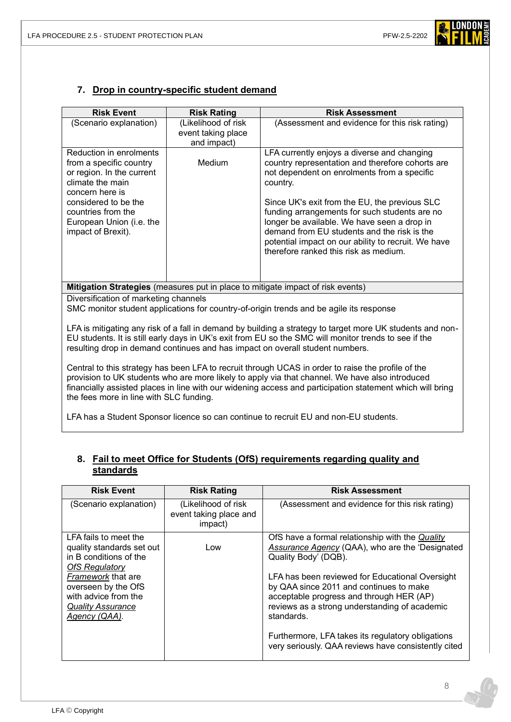

### **7. Drop in country-specific student demand**

| <b>Risk Event</b>                                                                                                                                                                                                                                                                                                                                             | <b>Risk Rating</b>                | <b>Risk Assessment</b>                                                                                                                                                                                                                                                                                                                                                                                                                                     |  |
|---------------------------------------------------------------------------------------------------------------------------------------------------------------------------------------------------------------------------------------------------------------------------------------------------------------------------------------------------------------|-----------------------------------|------------------------------------------------------------------------------------------------------------------------------------------------------------------------------------------------------------------------------------------------------------------------------------------------------------------------------------------------------------------------------------------------------------------------------------------------------------|--|
| (Scenario explanation)                                                                                                                                                                                                                                                                                                                                        | (Likelihood of risk               | (Assessment and evidence for this risk rating)                                                                                                                                                                                                                                                                                                                                                                                                             |  |
|                                                                                                                                                                                                                                                                                                                                                               | event taking place<br>and impact) |                                                                                                                                                                                                                                                                                                                                                                                                                                                            |  |
| Reduction in enrolments<br>from a specific country<br>or region. In the current<br>climate the main<br>concern here is<br>considered to be the<br>countries from the<br>European Union (i.e. the<br>impact of Brexit).                                                                                                                                        | Medium                            | LFA currently enjoys a diverse and changing<br>country representation and therefore cohorts are<br>not dependent on enrolments from a specific<br>country.<br>Since UK's exit from the EU, the previous SLC<br>funding arrangements for such students are no<br>longer be available. We have seen a drop in<br>demand from EU students and the risk is the<br>potential impact on our ability to recruit. We have<br>therefore ranked this risk as medium. |  |
|                                                                                                                                                                                                                                                                                                                                                               |                                   |                                                                                                                                                                                                                                                                                                                                                                                                                                                            |  |
| Mitigation Strategies (measures put in place to mitigate impact of risk events)                                                                                                                                                                                                                                                                               |                                   |                                                                                                                                                                                                                                                                                                                                                                                                                                                            |  |
| Diversification of marketing channels<br>SMC monitor student applications for country-of-origin trends and be agile its response                                                                                                                                                                                                                              |                                   |                                                                                                                                                                                                                                                                                                                                                                                                                                                            |  |
| LFA is mitigating any risk of a fall in demand by building a strategy to target more UK students and non-<br>EU students. It is still early days in UK's exit from EU so the SMC will monitor trends to see if the<br>resulting drop in demand continues and has impact on overall student numbers.                                                           |                                   |                                                                                                                                                                                                                                                                                                                                                                                                                                                            |  |
| Central to this strategy has been LFA to recruit through UCAS in order to raise the profile of the<br>provision to UK students who are more likely to apply via that channel. We have also introduced<br>financially assisted places in line with our widening access and participation statement which will bring<br>the fees more in line with SLC funding. |                                   |                                                                                                                                                                                                                                                                                                                                                                                                                                                            |  |

LFA has a Student Sponsor licence so can continue to recruit EU and non-EU students.

### **8. Fail to meet Office for Students (OfS) requirements regarding quality and standards**

| <b>Risk Event</b>                                                                                                                                                                                                              | <b>Risk Rating</b>                                       | <b>Risk Assessment</b>                                                                                                                                                                                                                                                                                                                                                                                                                                 |
|--------------------------------------------------------------------------------------------------------------------------------------------------------------------------------------------------------------------------------|----------------------------------------------------------|--------------------------------------------------------------------------------------------------------------------------------------------------------------------------------------------------------------------------------------------------------------------------------------------------------------------------------------------------------------------------------------------------------------------------------------------------------|
| (Scenario explanation)                                                                                                                                                                                                         | (Likelihood of risk<br>event taking place and<br>impact) | (Assessment and evidence for this risk rating)                                                                                                                                                                                                                                                                                                                                                                                                         |
| LFA fails to meet the<br>quality standards set out<br>in B conditions of the<br><b>OfS Regulatory</b><br><b>Framework that are</b><br>overseen by the OfS<br>with advice from the<br><b>Quality Assurance</b><br>Agency (QAA). | Low                                                      | OfS have a formal relationship with the <i>Quality</i><br>Assurance Agency (QAA), who are the 'Designated<br>Quality Body' (DQB).<br>LFA has been reviewed for Educational Oversight<br>by QAA since 2011 and continues to make<br>acceptable progress and through HER (AP)<br>reviews as a strong understanding of academic<br>standards.<br>Furthermore, LFA takes its regulatory obligations<br>very seriously. QAA reviews have consistently cited |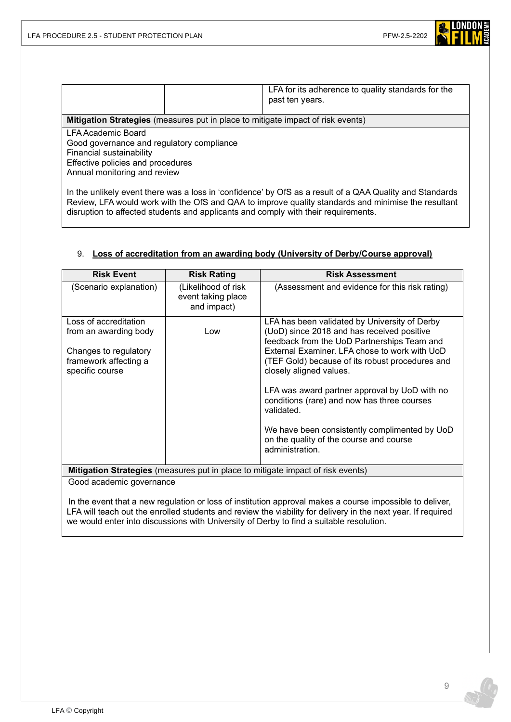

|                                                                                                                                                                                                                                                            |  | LFA for its adherence to quality standards for the<br>past ten years. |
|------------------------------------------------------------------------------------------------------------------------------------------------------------------------------------------------------------------------------------------------------------|--|-----------------------------------------------------------------------|
|                                                                                                                                                                                                                                                            |  |                                                                       |
| <b>Mitigation Strategies</b> (measures put in place to mitigate impact of risk events)<br>LFA Academic Board<br>Good governance and regulatory compliance<br>Financial sustainability<br>Effective policies and procedures<br>Annual monitoring and review |  |                                                                       |
| In the unlikely event there was a loss in 'confidence' by OfS as a result of a OAA Quality and Standards                                                                                                                                                   |  |                                                                       |

In the unlikely event there was a loss in 'confidence' by OfS as a result of a QAA Quality and Standards Review, LFA would work with the OfS and QAA to improve quality standards and minimise the resultant disruption to affected students and applicants and comply with their requirements.

### 9. **Loss of accreditation from an awarding body (University of Derby/Course approval)**

| <b>Risk Event</b>                                                                                                   | <b>Risk Rating</b>                                       | <b>Risk Assessment</b>                                                                                                                                                                                                                                                                                                                                                                                                                                                                                 |
|---------------------------------------------------------------------------------------------------------------------|----------------------------------------------------------|--------------------------------------------------------------------------------------------------------------------------------------------------------------------------------------------------------------------------------------------------------------------------------------------------------------------------------------------------------------------------------------------------------------------------------------------------------------------------------------------------------|
| (Scenario explanation)                                                                                              | (Likelihood of risk<br>event taking place<br>and impact) | (Assessment and evidence for this risk rating)                                                                                                                                                                                                                                                                                                                                                                                                                                                         |
| Loss of accreditation<br>from an awarding body<br>Changes to regulatory<br>framework affecting a<br>specific course | Low                                                      | LFA has been validated by University of Derby<br>(UoD) since 2018 and has received positive<br>feedback from the UoD Partnerships Team and<br>External Examiner. LFA chose to work with UoD<br>(TEF Gold) because of its robust procedures and<br>closely aligned values.<br>LFA was award partner approval by UoD with no<br>conditions (rare) and now has three courses<br>validated.<br>We have been consistently complimented by UoD<br>on the quality of the course and course<br>administration. |
| <b>Mitigation Strategies</b> (measures put in place to mitigate impact of risk events)                              |                                                          |                                                                                                                                                                                                                                                                                                                                                                                                                                                                                                        |

Good academic governance

In the event that a new regulation or loss of institution approval makes a course impossible to deliver, LFA will teach out the enrolled students and review the viability for delivery in the next year. If required we would enter into discussions with University of Derby to find a suitable resolution.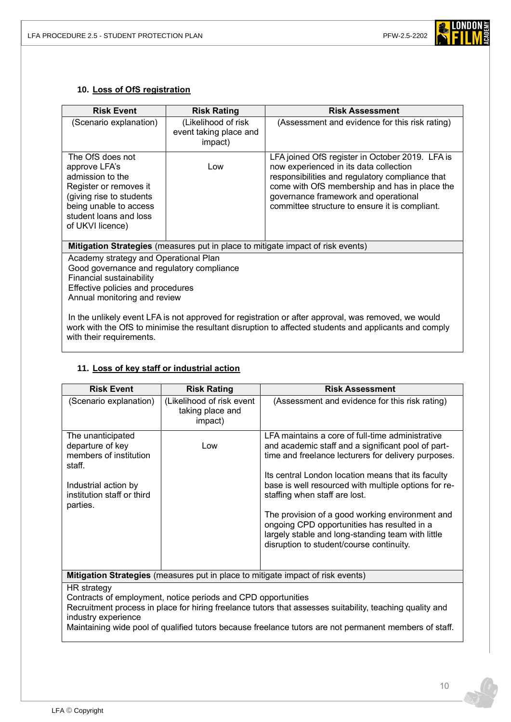

### **10. Loss of OfS registration**

| <b>Risk Event</b>                                                                                                                                                                                            | <b>Risk Rating</b>                                       | <b>Risk Assessment</b>                                                                                                                                                                                                                                                                  |
|--------------------------------------------------------------------------------------------------------------------------------------------------------------------------------------------------------------|----------------------------------------------------------|-----------------------------------------------------------------------------------------------------------------------------------------------------------------------------------------------------------------------------------------------------------------------------------------|
| (Scenario explanation)                                                                                                                                                                                       | (Likelihood of risk<br>event taking place and<br>impact) | (Assessment and evidence for this risk rating)                                                                                                                                                                                                                                          |
| The OfS does not<br>approve LFA's<br>admission to the<br>Register or removes it<br>(giving rise to students<br>being unable to access<br>student loans and loss<br>of UKVI licence)                          | Low                                                      | LFA joined OfS register in October 2019. LFA is<br>now experienced in its data collection<br>responsibilities and regulatory compliance that<br>come with OfS membership and has in place the<br>governance framework and operational<br>committee structure to ensure it is compliant. |
| <b>Mitigation Strategies</b> (measures put in place to mitigate impact of risk events)                                                                                                                       |                                                          |                                                                                                                                                                                                                                                                                         |
| Academy strategy and Operational Plan<br>Good governance and regulatory compliance<br>Financial sustainability<br>Effective policies and procedures<br>Annual monitoring and review                          |                                                          |                                                                                                                                                                                                                                                                                         |
| In the unlikely event LFA is not approved for registration or after approval, was removed, we would<br>work with the OfS to minimise the resultant disruption to affected students and applicants and comply |                                                          |                                                                                                                                                                                                                                                                                         |

with their requirements.

### **11. Loss of key staff or industrial action**

| <b>Risk Event</b>                                                                                                                                                                                                                                                                                                         | <b>Risk Rating</b>                                       | <b>Risk Assessment</b>                                                                                                                                                                                                                                                                                                                                                                                                                                                                                          |  |  |
|---------------------------------------------------------------------------------------------------------------------------------------------------------------------------------------------------------------------------------------------------------------------------------------------------------------------------|----------------------------------------------------------|-----------------------------------------------------------------------------------------------------------------------------------------------------------------------------------------------------------------------------------------------------------------------------------------------------------------------------------------------------------------------------------------------------------------------------------------------------------------------------------------------------------------|--|--|
| (Scenario explanation)                                                                                                                                                                                                                                                                                                    | (Likelihood of risk event<br>taking place and<br>impact) | (Assessment and evidence for this risk rating)                                                                                                                                                                                                                                                                                                                                                                                                                                                                  |  |  |
| The unanticipated<br>departure of key<br>members of institution<br>staff.<br>Industrial action by<br>institution staff or third<br>parties.                                                                                                                                                                               | Low                                                      | LFA maintains a core of full-time administrative<br>and academic staff and a significant pool of part-<br>time and freelance lecturers for delivery purposes.<br>Its central London location means that its faculty<br>base is well resourced with multiple options for re-<br>staffing when staff are lost.<br>The provision of a good working environment and<br>ongoing CPD opportunities has resulted in a<br>largely stable and long-standing team with little<br>disruption to student/course continuity. |  |  |
| <b>Mitigation Strategies</b> (measures put in place to mitigate impact of risk events)                                                                                                                                                                                                                                    |                                                          |                                                                                                                                                                                                                                                                                                                                                                                                                                                                                                                 |  |  |
| HR strategy<br>Contracts of employment, notice periods and CPD opportunities<br>Recruitment process in place for hiring freelance tutors that assesses suitability, teaching quality and<br>industry experience<br>Maintaining wide pool of qualified tutors because freelance tutors are not permanent members of staff. |                                                          |                                                                                                                                                                                                                                                                                                                                                                                                                                                                                                                 |  |  |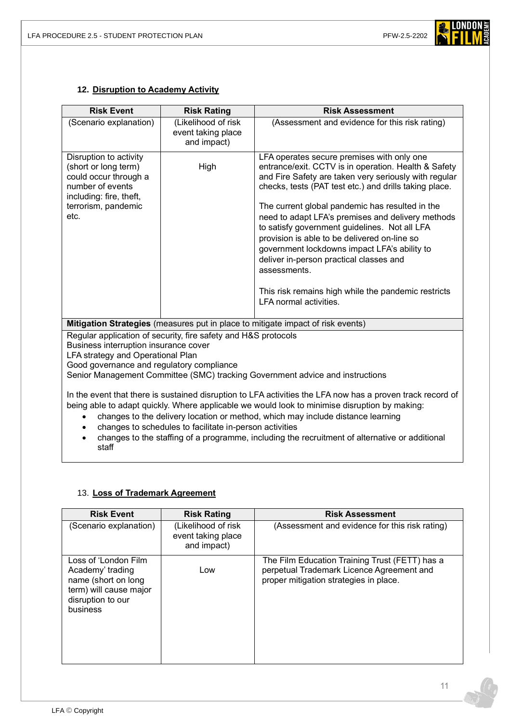

### **12. Disruption to Academy Activity**

| <b>Risk Event</b>                                                                                                                                                                                                                                                                              | <b>Risk Rating</b>                                       | <b>Risk Assessment</b>                                                                                                                                                                                                                                                                                                                                                                                                                                                                                                                                                                                                     |  |  |
|------------------------------------------------------------------------------------------------------------------------------------------------------------------------------------------------------------------------------------------------------------------------------------------------|----------------------------------------------------------|----------------------------------------------------------------------------------------------------------------------------------------------------------------------------------------------------------------------------------------------------------------------------------------------------------------------------------------------------------------------------------------------------------------------------------------------------------------------------------------------------------------------------------------------------------------------------------------------------------------------------|--|--|
| (Scenario explanation)                                                                                                                                                                                                                                                                         | (Likelihood of risk<br>event taking place<br>and impact) | (Assessment and evidence for this risk rating)                                                                                                                                                                                                                                                                                                                                                                                                                                                                                                                                                                             |  |  |
| Disruption to activity<br>(short or long term)<br>could occur through a<br>number of events<br>including: fire, theft,<br>terrorism, pandemic<br>etc.                                                                                                                                          | High                                                     | LFA operates secure premises with only one<br>entrance/exit. CCTV is in operation. Health & Safety<br>and Fire Safety are taken very seriously with regular<br>checks, tests (PAT test etc.) and drills taking place.<br>The current global pandemic has resulted in the<br>need to adapt LFA's premises and delivery methods<br>to satisfy government guidelines. Not all LFA<br>provision is able to be delivered on-line so<br>government lockdowns impact LFA's ability to<br>deliver in-person practical classes and<br>assessments.<br>This risk remains high while the pandemic restricts<br>LFA normal activities. |  |  |
| Mitigation Strategies (measures put in place to mitigate impact of risk events)                                                                                                                                                                                                                |                                                          |                                                                                                                                                                                                                                                                                                                                                                                                                                                                                                                                                                                                                            |  |  |
| Regular application of security, fire safety and H&S protocols<br>Business interruption insurance cover<br>LFA strategy and Operational Plan<br>Good governance and regulatory compliance<br>Senior Management Committee (SMC) tracking Government advice and instructions                     |                                                          |                                                                                                                                                                                                                                                                                                                                                                                                                                                                                                                                                                                                                            |  |  |
| In the event that there is sustained disruption to LFA activities the LFA now has a proven track record of<br>being able to adapt quickly. Where applicable we would look to minimise disruption by making:<br>changes to the delivery location or method, which may include distance learning |                                                          |                                                                                                                                                                                                                                                                                                                                                                                                                                                                                                                                                                                                                            |  |  |

- changes to schedules to facilitate in-person activities
- changes to the staffing of a programme, including the recruitment of alternative or additional staff

### 13. **Loss of Trademark Agreement**

| <b>Risk Event</b>                                                                                                          | <b>Risk Rating</b>                                       | <b>Risk Assessment</b>                                                                                                                |
|----------------------------------------------------------------------------------------------------------------------------|----------------------------------------------------------|---------------------------------------------------------------------------------------------------------------------------------------|
| (Scenario explanation)                                                                                                     | (Likelihood of risk<br>event taking place<br>and impact) | (Assessment and evidence for this risk rating)                                                                                        |
| Loss of 'London Film<br>Academy' trading<br>name (short on long<br>term) will cause major<br>disruption to our<br>business | Low                                                      | The Film Education Training Trust (FETT) has a<br>perpetual Trademark Licence Agreement and<br>proper mitigation strategies in place. |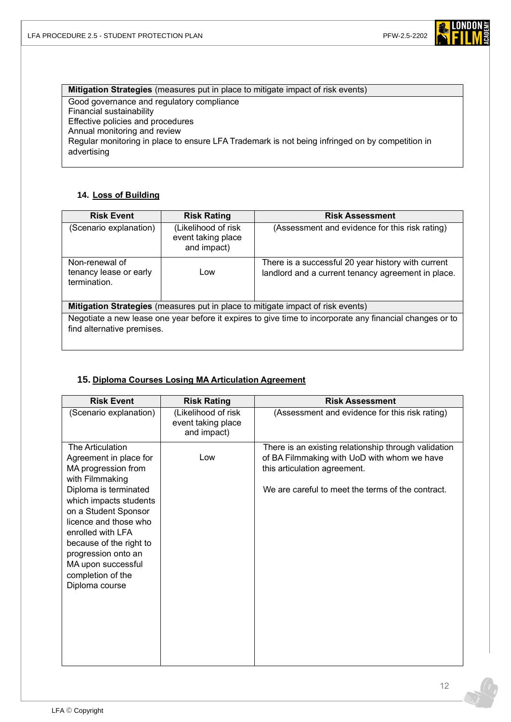

**Mitigation Strategies** (measures put in place to mitigate impact of risk events) Good governance and regulatory compliance Financial sustainability Effective policies and procedures Annual monitoring and review Regular monitoring in place to ensure LFA Trademark is not being infringed on by competition in advertising

### **14. Loss of Building**

| <b>Risk Event</b>                                                                                                                      | <b>Risk Rating</b>                                       | <b>Risk Assessment</b>                                                                                   |  |  |
|----------------------------------------------------------------------------------------------------------------------------------------|----------------------------------------------------------|----------------------------------------------------------------------------------------------------------|--|--|
| (Scenario explanation)                                                                                                                 | (Likelihood of risk<br>event taking place<br>and impact) | (Assessment and evidence for this risk rating)                                                           |  |  |
| Non-renewal of<br>tenancy lease or early<br>termination.                                                                               | Low                                                      | There is a successful 20 year history with current<br>landlord and a current tenancy agreement in place. |  |  |
| <b>Mitigation Strategies</b> (measures put in place to mitigate impact of risk events)                                                 |                                                          |                                                                                                          |  |  |
| Negotiate a new lease one year before it expires to give time to incorporate any financial changes or to<br>find alternative premises. |                                                          |                                                                                                          |  |  |

### **15. Diploma Courses Losing MA Articulation Agreement**

| <b>Risk Event</b>                                                                                                                                                                                                                                                                                                            | <b>Risk Rating</b>                                       | <b>Risk Assessment</b>                                                                                                                                                                   |
|------------------------------------------------------------------------------------------------------------------------------------------------------------------------------------------------------------------------------------------------------------------------------------------------------------------------------|----------------------------------------------------------|------------------------------------------------------------------------------------------------------------------------------------------------------------------------------------------|
| (Scenario explanation)                                                                                                                                                                                                                                                                                                       | (Likelihood of risk<br>event taking place<br>and impact) | (Assessment and evidence for this risk rating)                                                                                                                                           |
| The Articulation<br>Agreement in place for<br>MA progression from<br>with Filmmaking<br>Diploma is terminated<br>which impacts students<br>on a Student Sponsor<br>licence and those who<br>enrolled with LFA<br>because of the right to<br>progression onto an<br>MA upon successful<br>completion of the<br>Diploma course | Low                                                      | There is an existing relationship through validation<br>of BA Filmmaking with UoD with whom we have<br>this articulation agreement.<br>We are careful to meet the terms of the contract. |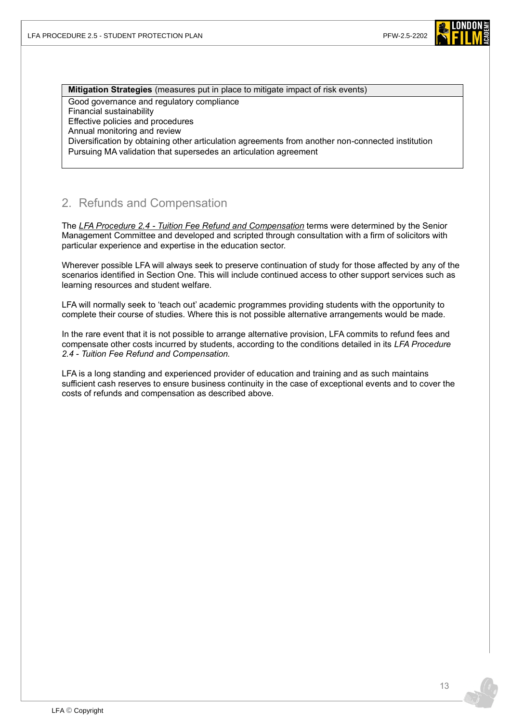

### **Mitigation Strategies** (measures put in place to mitigate impact of risk events)

Good governance and regulatory compliance

Financial sustainability

Effective policies and procedures

Annual monitoring and review

Diversification by obtaining other articulation agreements from another non-connected institution

Pursuing MA validation that supersedes an articulation agreement

# 2. Refunds and Compensation

The *LFA Procedure 2.4 - [Tuition Fee Refund and Compensation](https://www.londonfilmacademy.com/LFA_Procedure_2.4_Tuition_fee_refunds_and_compensation.pdf)* terms were determined by the Senior Management Committee and developed and scripted through consultation with a firm of solicitors with particular experience and expertise in the education sector.

Wherever possible LFA will always seek to preserve continuation of study for those affected by any of the scenarios identified in Section One. This will include continued access to other support services such as learning resources and student welfare.

LFA will normally seek to 'teach out' academic programmes providing students with the opportunity to complete their course of studies. Where this is not possible alternative arrangements would be made.

In the rare event that it is not possible to arrange alternative provision, LFA commits to refund fees and compensate other costs incurred by students, according to the conditions detailed in its *LFA Procedure 2.4 - Tuition Fee Refund and Compensation.*

LFA is a long standing and experienced provider of education and training and as such maintains sufficient cash reserves to ensure business continuity in the case of exceptional events and to cover the costs of refunds and compensation as described above.